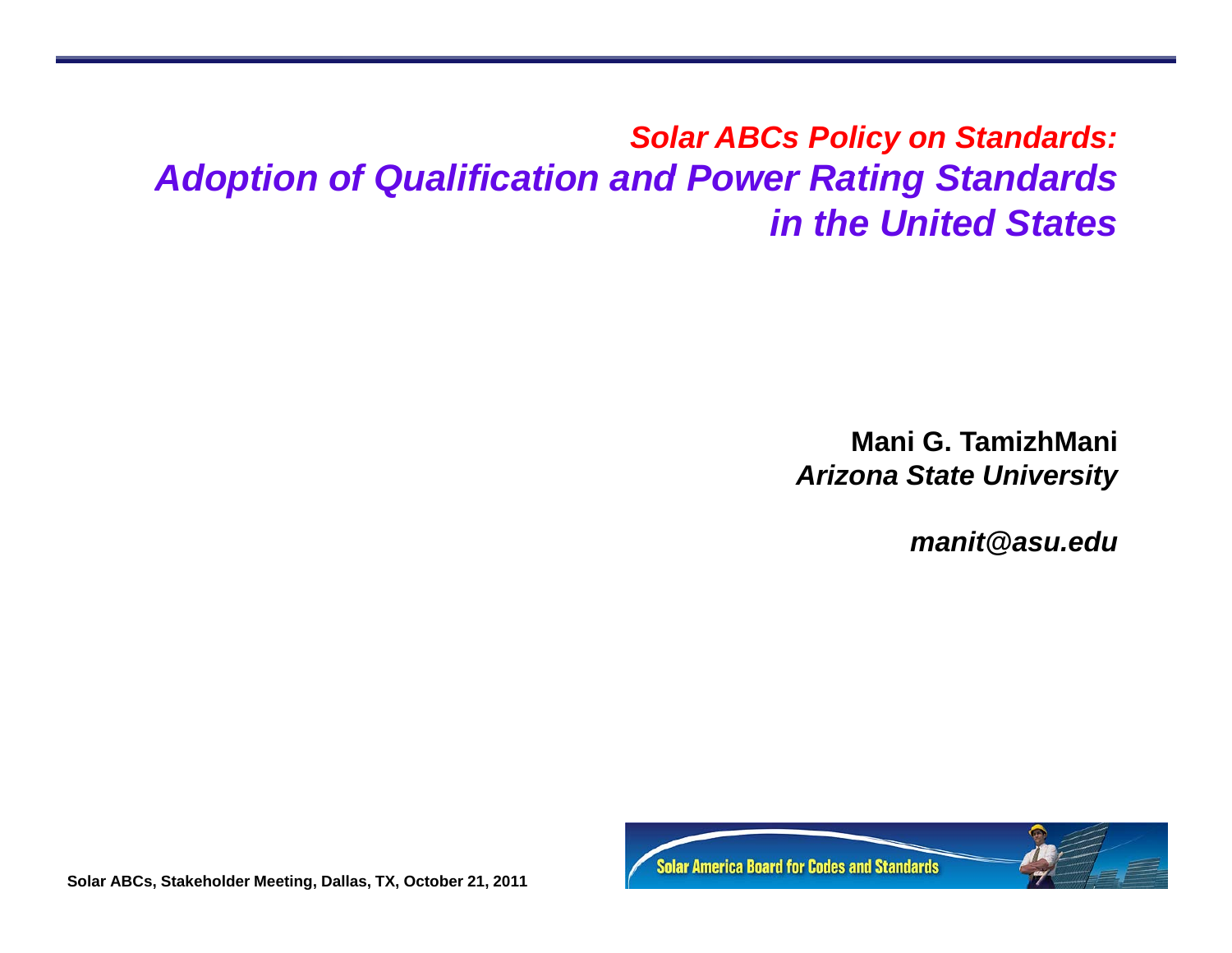### *Solar ABCs Policy on Standards: Adoption of Qualification and Power Rating Standards in the United States*

**Mani G. TamizhMani** *Arizona State University*

 $manit@$  *asu.edu* 

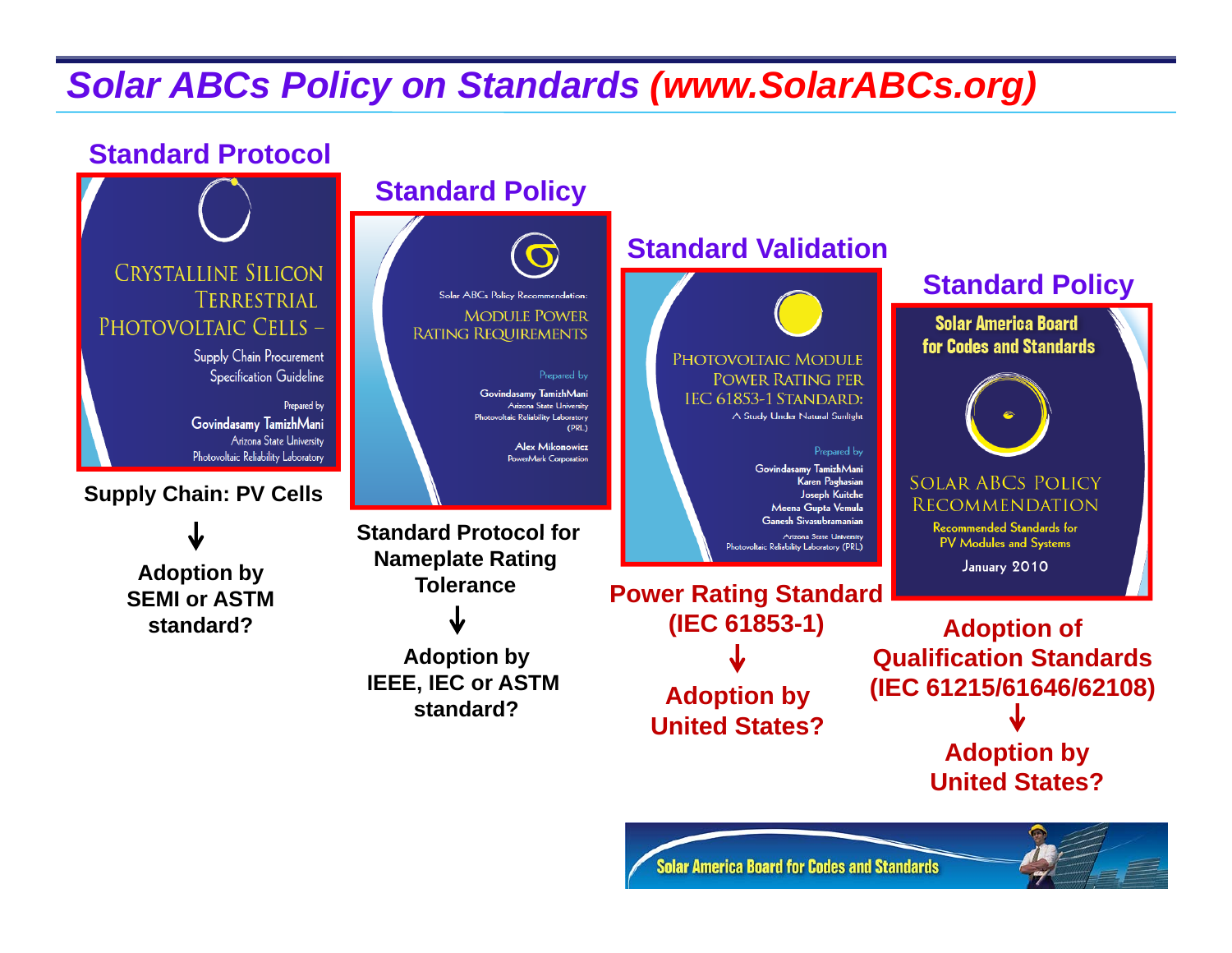## *Solar ABCs Policy on Standards (www.SolarABCs.org)*

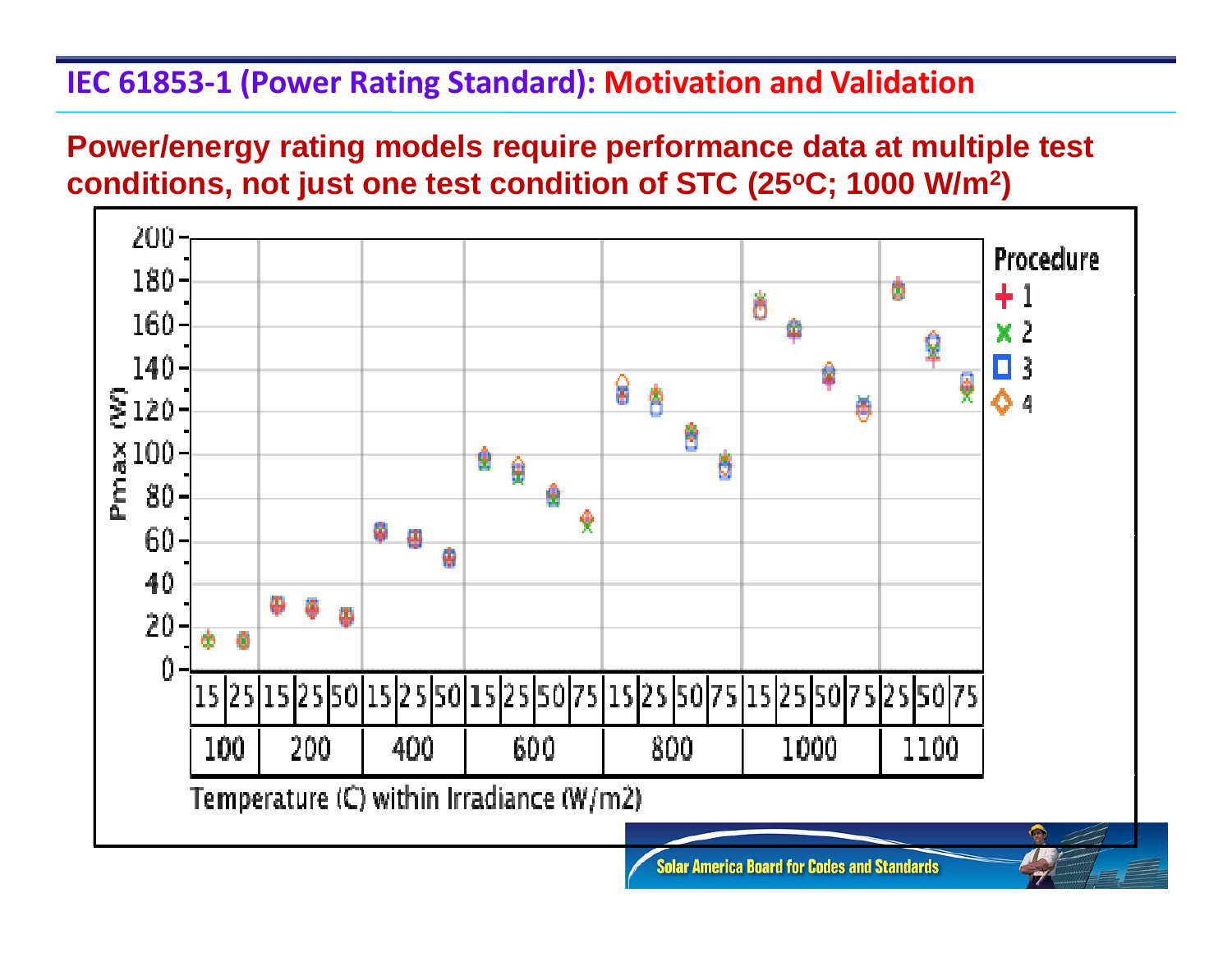#### **IEC 61853‐1 (Power Rating Standard): Motivation and Validation**

#### **Power/energy rating models require performance data at multiple test**  conditions, not just one test condition of STC (25°C; 1000 W/m<sup>2</sup>)

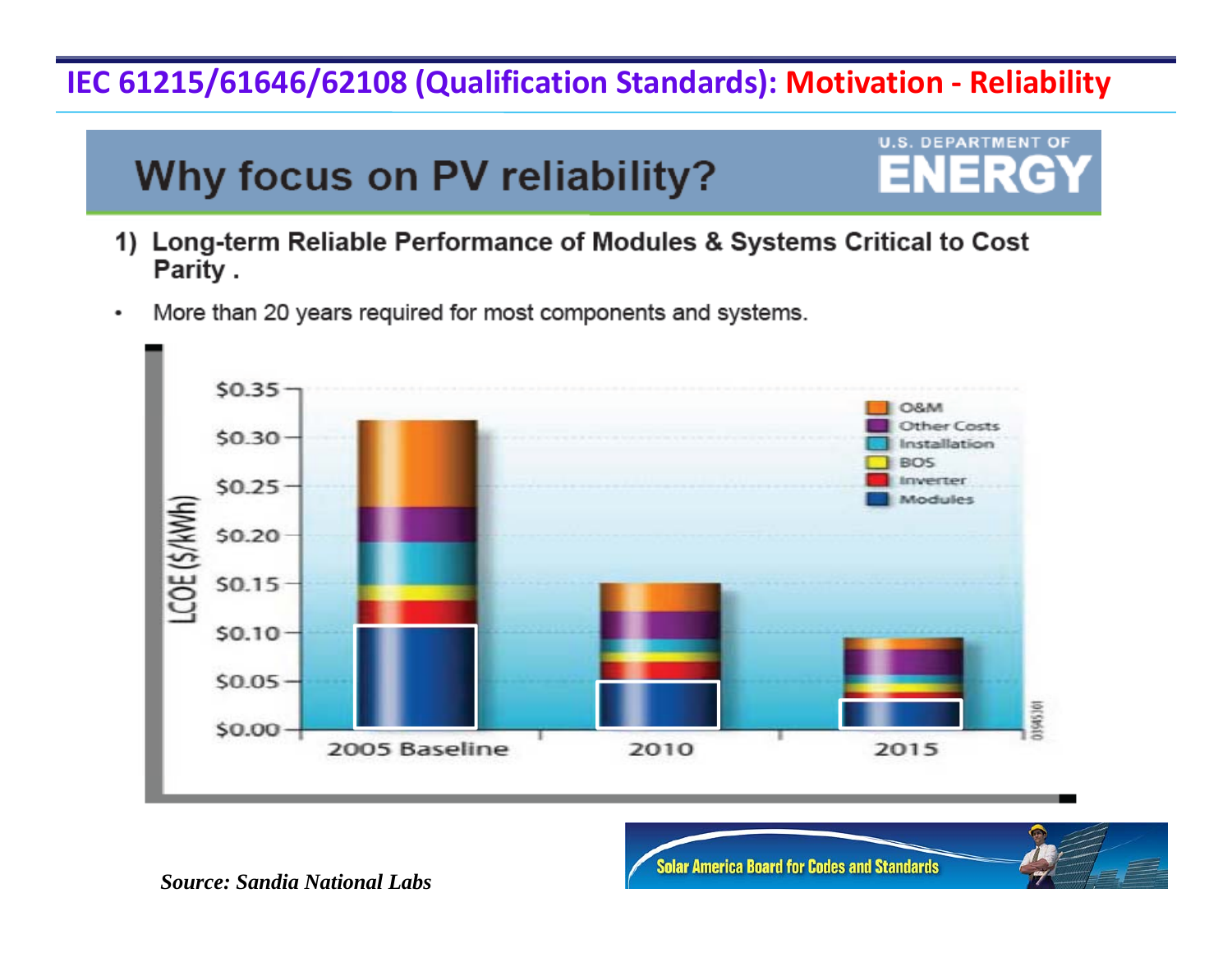#### **IEC 61215/61646/62108 (Qualification Standards): Motivation ‐ Reliability**

# Why focus on PV reliability?



- 1) Long-term Reliable Performance of Modules & Systems Critical to Cost Parity.
- More than 20 years required for most components and systems.  $\bullet$



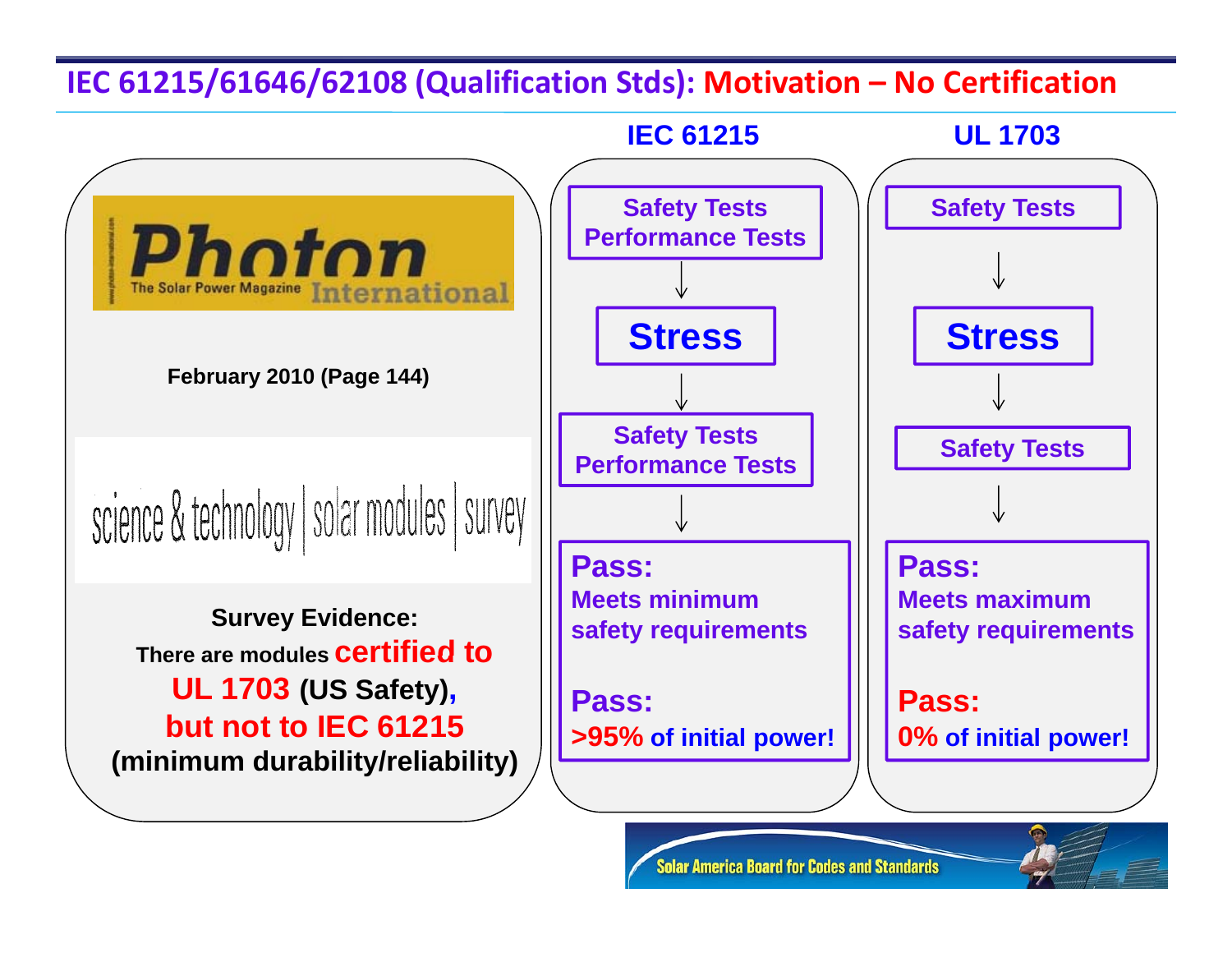#### **IEC 61215/61646/62108 (Qualification Stds): Motivation – No Certification**



**Solar America Board for Codes and Standards**